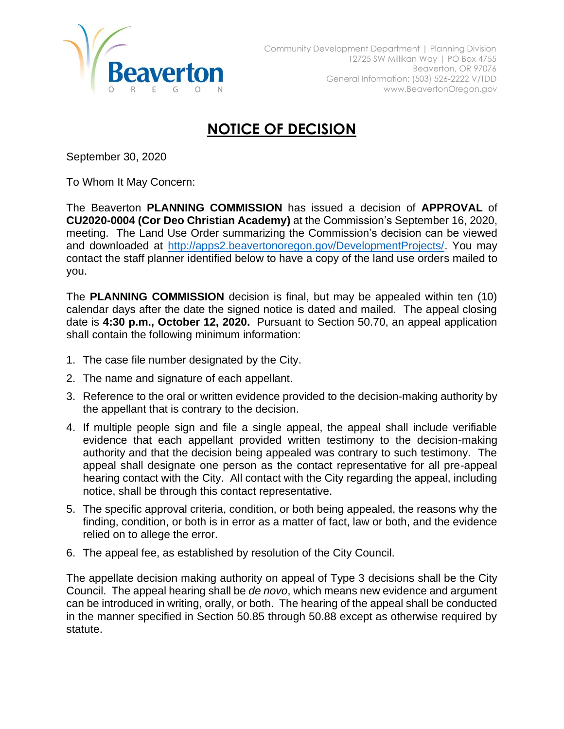

## **NOTICE OF DECISION**

September 30, 2020

To Whom It May Concern:

The Beaverton **PLANNING COMMISSION** has issued a decision of **APPROVAL** of **CU2020-0004 (Cor Deo Christian Academy)** at the Commission's September 16, 2020, meeting. The Land Use Order summarizing the Commission's decision can be viewed and downloaded at [http://apps2.beavertonoregon.gov/DevelopmentProjects/.](http://apps2.beavertonoregon.gov/DevelopmentProjects/) You may contact the staff planner identified below to have a copy of the land use orders mailed to you.

The **PLANNING COMMISSION** decision is final, but may be appealed within ten (10) calendar days after the date the signed notice is dated and mailed. The appeal closing date is **4:30 p.m., October 12, 2020.** Pursuant to Section 50.70, an appeal application shall contain the following minimum information:

- 1. The case file number designated by the City.
- 2. The name and signature of each appellant.
- 3. Reference to the oral or written evidence provided to the decision-making authority by the appellant that is contrary to the decision.
- 4. If multiple people sign and file a single appeal, the appeal shall include verifiable evidence that each appellant provided written testimony to the decision-making authority and that the decision being appealed was contrary to such testimony. The appeal shall designate one person as the contact representative for all pre-appeal hearing contact with the City. All contact with the City regarding the appeal, including notice, shall be through this contact representative.
- 5. The specific approval criteria, condition, or both being appealed, the reasons why the finding, condition, or both is in error as a matter of fact, law or both, and the evidence relied on to allege the error.
- 6. The appeal fee, as established by resolution of the City Council.

The appellate decision making authority on appeal of Type 3 decisions shall be the City Council. The appeal hearing shall be *de novo*, which means new evidence and argument can be introduced in writing, orally, or both. The hearing of the appeal shall be conducted in the manner specified in Section 50.85 through 50.88 except as otherwise required by statute.